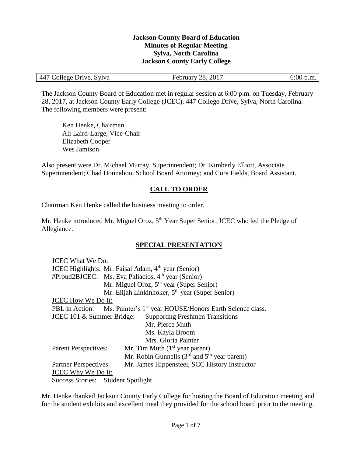#### **Jackson County Board of Education Minutes of Regular Meeting Sylva, North Carolina Jackson County Early College**

| 447 College Drive, Sylva | February 28, 2017 | $6:00$ p.m. |
|--------------------------|-------------------|-------------|
|                          |                   |             |

The Jackson County Board of Education met in regular session at 6:00 p.m. on Tuesday, February 28, 2017, at Jackson County Early College (JCEC), 447 College Drive, Sylva, North Carolina. The following members were present:

Ken Henke, Chairman Ali Laird-Large, Vice-Chair Elizabeth Cooper Wes Jamison

Also present were Dr. Michael Murray, Superintendent; Dr. Kimberly Elliott, Associate Superintendent; Chad Donnahoo, School Board Attorney; and Cora Fields, Board Assistant.

# **CALL TO ORDER**

Chairman Ken Henke called the business meeting to order.

Mr. Henke introduced Mr. Miguel Oroz, 5<sup>th</sup> Year Super Senior, JCEC who led the Pledge of Allegiance.

# **SPECIAL PRESENTATION**

| <b>JCEC What We Do:</b>                                             |                                                                                     |  |  |
|---------------------------------------------------------------------|-------------------------------------------------------------------------------------|--|--|
| JCEC Highlights: Mr. Faisal Adam, 4 <sup>th</sup> year (Senior)     |                                                                                     |  |  |
|                                                                     | #Proud2BJCEC: Ms. Eva Paliacios, 4 <sup>th</sup> year (Senior)                      |  |  |
|                                                                     | Mr. Miguel Oroz, 5 <sup>th</sup> year (Super Senior)                                |  |  |
|                                                                     | Mr. Elijah Linkinhoker, $5th$ year (Super Senior)                                   |  |  |
| <b>JCEC How We Do It:</b>                                           |                                                                                     |  |  |
|                                                                     | PBL in Action: Ms. Painter's 1 <sup>st</sup> year HOUSE/Honors Earth Science class. |  |  |
| <b>Supporting Freshmen Transitions</b><br>JCEC 101 & Summer Bridge: |                                                                                     |  |  |
|                                                                     | Mr. Pierce Muth                                                                     |  |  |
|                                                                     | Ms. Kayla Broom                                                                     |  |  |
|                                                                     | Mrs. Gloria Painter                                                                 |  |  |
| <b>Parent Perspectives:</b>                                         | Mr. Tim Muth $(1st$ year parent)                                                    |  |  |
|                                                                     | Mr. Robin Gunnells $(3rd$ and $5th$ year parent)                                    |  |  |
| <b>Partner Perspectives:</b>                                        | Mr. James Hippensteel, SCC History Instructor                                       |  |  |
| <b>JCEC Why We Do It:</b>                                           |                                                                                     |  |  |
| Success Stories: Student Spotlight                                  |                                                                                     |  |  |

Mr. Henke thanked Jackson County Early College for hosting the Board of Education meeting and for the student exhibits and excellent meal they provided for the school board prior to the meeting.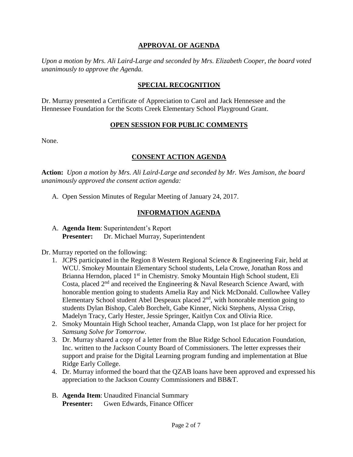### **APPROVAL OF AGENDA**

*Upon a motion by Mrs. Ali Laird-Large and seconded by Mrs. Elizabeth Cooper, the board voted unanimously to approve the Agenda.*

#### **SPECIAL RECOGNITION**

Dr. Murray presented a Certificate of Appreciation to Carol and Jack Hennessee and the Hennessee Foundation for the Scotts Creek Elementary School Playground Grant.

#### **OPEN SESSION FOR PUBLIC COMMENTS**

None.

#### **CONSENT ACTION AGENDA**

**Action:** *Upon a motion by Mrs. Ali Laird-Large and seconded by Mr. Wes Jamison, the board unanimously approved the consent action agenda:*

A. Open Session Minutes of Regular Meeting of January 24, 2017.

#### **INFORMATION AGENDA**

A. **Agenda Item**: Superintendent's Report **Presenter:** Dr. Michael Murray, Superintendent

Dr. Murray reported on the following:

- 1. JCPS participated in the Region 8 Western Regional Science & Engineering Fair, held at WCU. Smokey Mountain Elementary School students, Lela Crowe, Jonathan Ross and Brianna Herndon, placed 1<sup>st</sup> in Chemistry. Smoky Mountain High School student, Eli Costa, placed  $2<sup>nd</sup>$  and received the Engineering & Naval Research Science Award, with honorable mention going to students Amelia Ray and Nick McDonald. Cullowhee Valley Elementary School student Abel Despeaux placed  $2<sup>nd</sup>$ , with honorable mention going to students Dylan Bishop, Caleb Borchelt, Gabe Kinner, Nicki Stephens, Alyssa Crisp, Madelyn Tracy, Carly Hester, Jessie Springer, Kaitlyn Cox and Olivia Rice.
- 2. Smoky Mountain High School teacher, Amanda Clapp, won 1st place for her project for *Samsung Solve for Tomorrow*.
- 3. Dr. Murray shared a copy of a letter from the Blue Ridge School Education Foundation, Inc. written to the Jackson County Board of Commissioners. The letter expresses their support and praise for the Digital Learning program funding and implementation at Blue Ridge Early College.
- 4. Dr. Murray informed the board that the QZAB loans have been approved and expressed his appreciation to the Jackson County Commissioners and BB&T.
- B. **Agenda Item**: Unaudited Financial Summary **Presenter:** Gwen Edwards, Finance Officer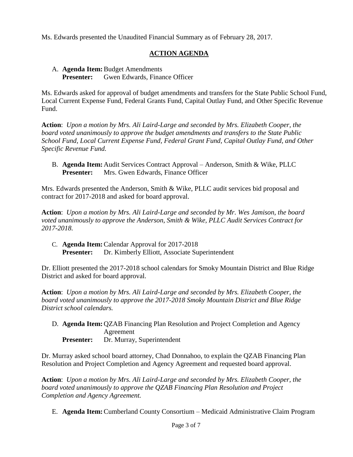Ms. Edwards presented the Unaudited Financial Summary as of February 28, 2017.

# **ACTION AGENDA**

### A. **Agenda Item:**Budget Amendments **Presenter:** Gwen Edwards, Finance Officer

Ms. Edwards asked for approval of budget amendments and transfers for the State Public School Fund, Local Current Expense Fund, Federal Grants Fund, Capital Outlay Fund, and Other Specific Revenue Fund.

**Action**: *Upon a motion by Mrs. Ali Laird-Large and seconded by Mrs. Elizabeth Cooper, the board voted unanimously to approve the budget amendments and transfers to the State Public School Fund, Local Current Expense Fund, Federal Grant Fund, Capital Outlay Fund, and Other Specific Revenue Fund.*

B. **Agenda Item:** Audit Services Contract Approval – Anderson, Smith & Wike, PLLC **Presenter:** Mrs. Gwen Edwards, Finance Officer

Mrs. Edwards presented the Anderson, Smith & Wike, PLLC audit services bid proposal and contract for 2017-2018 and asked for board approval.

**Action**: *Upon a motion by Mrs. Ali Laird-Large and seconded by Mr. Wes Jamison, the board voted unanimously to approve the Anderson, Smith & Wike, PLLC Audit Services Contract for 2017-2018.*

C. **Agenda Item:**Calendar Approval for 2017-2018 **Presenter:** Dr. Kimberly Elliott, Associate Superintendent

Dr. Elliott presented the 2017-2018 school calendars for Smoky Mountain District and Blue Ridge District and asked for board approval.

**Action**: *Upon a motion by Mrs. Ali Laird-Large and seconded by Mrs. Elizabeth Cooper, the board voted unanimously to approve the 2017-2018 Smoky Mountain District and Blue Ridge District school calendars.*

D. **Agenda Item:** QZAB Financing Plan Resolution and Project Completion and Agency Agreement **Presenter:** Dr. Murray, Superintendent

Dr. Murray asked school board attorney, Chad Donnahoo, to explain the QZAB Financing Plan Resolution and Project Completion and Agency Agreement and requested board approval.

**Action**: *Upon a motion by Mrs. Ali Laird-Large and seconded by Mrs. Elizabeth Cooper, the board voted unanimously to approve the QZAB Financing Plan Resolution and Project Completion and Agency Agreement.*

E. **Agenda Item:**Cumberland County Consortium – Medicaid Administrative Claim Program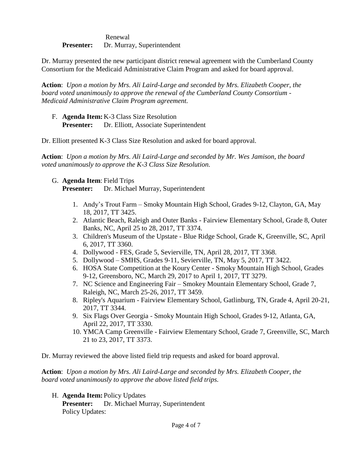Renewal **Presenter:** Dr. Murray, Superintendent

Dr. Murray presented the new participant district renewal agreement with the Cumberland County Consortium for the Medicaid Administrative Claim Program and asked for board approval.

**Action**: *Upon a motion by Mrs. Ali Laird-Large and seconded by Mrs. Elizabeth Cooper, the board voted unanimously to approve the renewal of the Cumberland County Consortium - Medicaid Administrative Claim Program agreement.*

F. **Agenda Item:** K-3 Class Size Resolution **Presenter:** Dr. Elliott, Associate Superintendent

Dr. Elliott presented K-3 Class Size Resolution and asked for board approval.

**Action**: *Upon a motion by Mrs. Ali Laird-Large and seconded by Mr. Wes Jamison, the board voted unanimously to approve the K-3 Class Size Resolution.*

G. **Agenda Item**: Field Trips

**Presenter:** Dr. Michael Murray, Superintendent

- 1. Andy's Trout Farm Smoky Mountain High School, Grades 9-12, Clayton, GA, May 18, 2017, TT 3425.
- 2. Atlantic Beach, Raleigh and Outer Banks Fairview Elementary School, Grade 8, Outer Banks, NC, April 25 to 28, 2017, TT 3374.
- 3. Children's Museum of the Upstate Blue Ridge School, Grade K, Greenville, SC, April 6, 2017, TT 3360.
- 4. Dollywood FES, Grade 5, Sevierville, TN, April 28, 2017, TT 3368.
- 5. Dollywood SMHS, Grades 9-11, Sevierville, TN, May 5, 2017, TT 3422.
- 6. HOSA State Competition at the Koury Center Smoky Mountain High School, Grades 9-12, Greensboro, NC, March 29, 2017 to April 1, 2017, TT 3279.
- 7. NC Science and Engineering Fair Smokey Mountain Elementary School, Grade 7, Raleigh, NC, March 25-26, 2017, TT 3459.
- 8. Ripley's Aquarium Fairview Elementary School, Gatlinburg, TN, Grade 4, April 20-21, 2017, TT 3344.
- 9. Six Flags Over Georgia Smoky Mountain High School, Grades 9-12, Atlanta, GA, April 22, 2017, TT 3330.
- 10. YMCA Camp Greenville Fairview Elementary School, Grade 7, Greenville, SC, March 21 to 23, 2017, TT 3373.

Dr. Murray reviewed the above listed field trip requests and asked for board approval.

**Action**: *Upon a motion by Mrs. Ali Laird-Large and seconded by Mrs. Elizabeth Cooper, the board voted unanimously to approve the above listed field trips.*

H. **Agenda Item:** Policy Updates

**Presenter:** Dr. Michael Murray, Superintendent Policy Updates: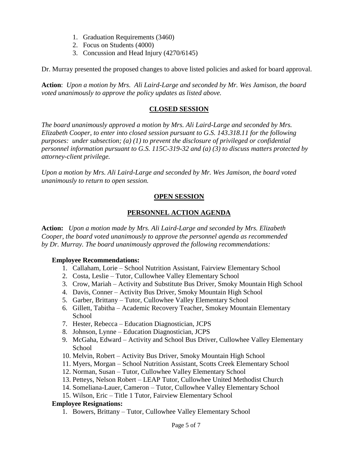- 1. Graduation Requirements (3460)
- 2. Focus on Students (4000)
- 3. Concussion and Head Injury (4270/6145)

Dr. Murray presented the proposed changes to above listed policies and asked for board approval.

**Action**: *Upon a motion by Mrs. Ali Laird-Large and seconded by Mr. Wes Jamison, the board voted unanimously to approve the policy updates as listed above.*

#### **CLOSED SESSION**

*The board unanimously approved a motion by Mrs. Ali Laird-Large and seconded by Mrs. Elizabeth Cooper, to enter into closed session pursuant to G.S. 143.318.11 for the following purposes: under subsection; (a) (1) to prevent the disclosure of privileged or confidential personnel information pursuant to G.S. 115C-319-32 and (a) (3) to discuss matters protected by attorney-client privilege.* 

*Upon a motion by Mrs. Ali Laird-Large and seconded by Mr. Wes Jamison, the board voted unanimously to return to open session.*

### **OPEN SESSION**

# **PERSONNEL ACTION AGENDA**

**Action:** *Upon a motion made by Mrs. Ali Laird-Large and seconded by Mrs. Elizabeth Cooper, the board voted unanimously to approve the personnel agenda as recommended by Dr. Murray. The board unanimously approved the following recommendations:*

#### **Employee Recommendations:**

- 1. Callaham, Lorie School Nutrition Assistant, Fairview Elementary School
- 2. Costa, Leslie Tutor, Cullowhee Valley Elementary School
- 3. Crow, Mariah Activity and Substitute Bus Driver, Smoky Mountain High School
- 4. Davis, Conner Activity Bus Driver, Smoky Mountain High School
- 5. Garber, Brittany Tutor, Cullowhee Valley Elementary School
- 6. Gillett, Tabitha Academic Recovery Teacher, Smokey Mountain Elementary **School**
- 7. Hester, Rebecca Education Diagnostician, JCPS
- 8. Johnson, Lynne Education Diagnostician, JCPS
- 9. McGaha, Edward Activity and School Bus Driver, Cullowhee Valley Elementary **School**
- 10. Melvin, Robert Activity Bus Driver, Smoky Mountain High School
- 11. Myers, Morgan School Nutrition Assistant, Scotts Creek Elementary School
- 12. Norman, Susan Tutor, Cullowhee Valley Elementary School
- 13. Petteys, Nelson Robert LEAP Tutor, Cullowhee United Methodist Church
- 14. Someliana-Lauer, Cameron Tutor, Cullowhee Valley Elementary School
- 15. Wilson, Eric Title 1 Tutor, Fairview Elementary School

#### **Employee Resignations:**

1. Bowers, Brittany – Tutor, Cullowhee Valley Elementary School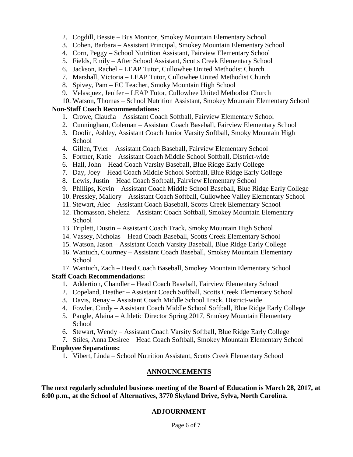- 2. Cogdill, Bessie Bus Monitor, Smokey Mountain Elementary School
- 3. Cohen, Barbara Assistant Principal, Smokey Mountain Elementary School
- 4. Corn, Peggy School Nutrition Assistant, Fairview Elementary School
- 5. Fields, Emily After School Assistant, Scotts Creek Elementary School
- 6. Jackson, Rachel LEAP Tutor, Cullowhee United Methodist Church
- 7. Marshall, Victoria LEAP Tutor, Cullowhee United Methodist Church
- 8. Spivey, Pam EC Teacher, Smoky Mountain High School
- 9. Velasquez, Jenifer LEAP Tutor, Cullowhee United Methodist Church
- 10. Watson, Thomas School Nutrition Assistant, Smokey Mountain Elementary School

#### **Non-Staff Coach Recommendations:**

- 1. Crowe, Claudia Assistant Coach Softball, Fairview Elementary School
- 2. Cunningham, Coleman Assistant Coach Baseball, Fairview Elementary School
- 3. Doolin, Ashley, Assistant Coach Junior Varsity Softball, Smoky Mountain High **School**
- 4. Gillen, Tyler Assistant Coach Baseball, Fairview Elementary School
- 5. Fortner, Katie Assistant Coach Middle School Softball, District-wide
- 6. Hall, John Head Coach Varsity Baseball, Blue Ridge Early College
- 7. Day, Joey Head Coach Middle School Softball, Blue Ridge Early College
- 8. Lewis, Justin Head Coach Softball, Fairview Elementary School
- 9. Phillips, Kevin Assistant Coach Middle School Baseball, Blue Ridge Early College
- 10. Pressley, Mallory Assistant Coach Softball, Cullowhee Valley Elementary School
- 11. Stewart, Alec Assistant Coach Baseball, Scotts Creek Elementary School
- 12. Thomasson, Shelena Assistant Coach Softball, Smokey Mountain Elementary School
- 13. Triplett, Dustin Assistant Coach Track, Smoky Mountain High School
- 14. Vassey, Nicholas Head Coach Baseball, Scotts Creek Elementary School
- 15. Watson, Jason Assistant Coach Varsity Baseball, Blue Ridge Early College
- 16. Wantuch, Courtney Assistant Coach Baseball, Smokey Mountain Elementary **School**

17. Wantuch, Zach – Head Coach Baseball, Smokey Mountain Elementary School

### **Staff Coach Recommendations:**

- 1. Addertion, Chandler Head Coach Baseball, Fairview Elementary School
- 2. Copeland, Heather Assistant Coach Softball, Scotts Creek Elementary School
- 3. Davis, Renay Assistant Coach Middle School Track, District-wide
- 4. Fowler, Cindy Assistant Coach Middle School Softball, Blue Ridge Early College
- 5. Pangle, Alaina Athletic Director Spring 2017, Smokey Mountain Elementary School
- 6. Stewart, Wendy Assistant Coach Varsity Softball, Blue Ridge Early College
- 7. Stiles, Anna Desiree Head Coach Softball, Smokey Mountain Elementary School

### **Employee Separations:**

1. Vibert, Linda – School Nutrition Assistant, Scotts Creek Elementary School

# **ANNOUNCEMENTS**

**The next regularly scheduled business meeting of the Board of Education is March 28, 2017, at 6:00 p.m., at the School of Alternatives, 3770 Skyland Drive, Sylva, North Carolina.**

# **ADJOURNMENT**